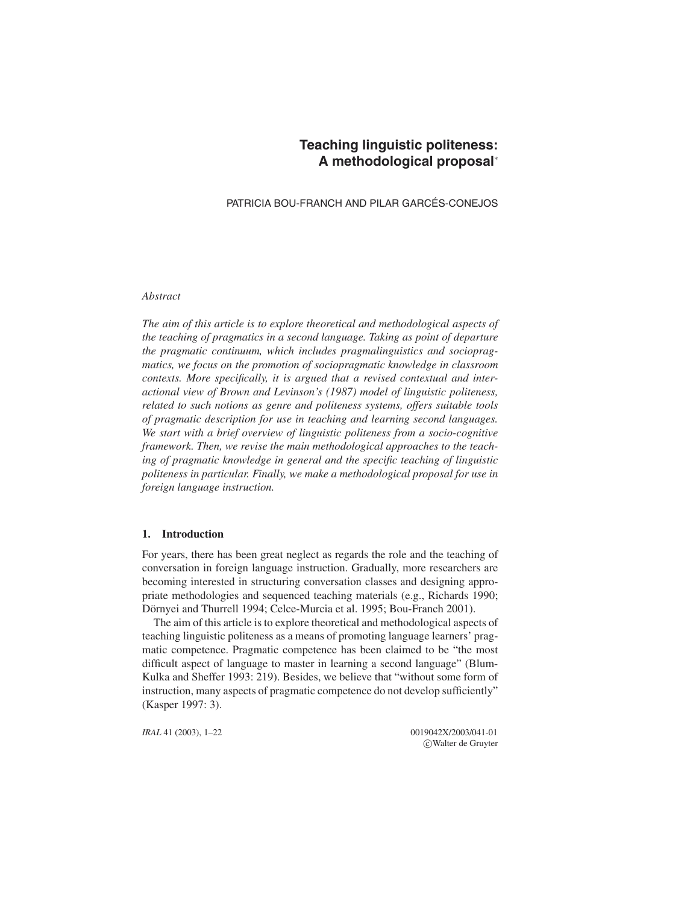# **Teaching linguistic politeness: A methodological proposal**<sup>∗</sup>

# PATRICIA BOU-FRANCH AND PILAR GARCÉS-CONEJOS

# *Abstract*

*The aim of this article is to explore theoretical and methodological aspects of the teaching of pragmatics in a second language. Taking as point of departure the pragmatic continuum, which includes pragmalinguistics and sociopragmatics, we focus on the promotion of sociopragmatic knowledge in classroom contexts. More specifically, it is argued that a revised contextual and interactional view of Brown and Levinson's (1987) model of linguistic politeness, related to such notions as genre and politeness systems, offers suitable tools of pragmatic description for use in teaching and learning second languages. We start with a brief overview of linguistic politeness from a socio-cognitive framework. Then, we revise the main methodological approaches to the teaching of pragmatic knowledge in general and the specific teaching of linguistic politeness in particular. Finally, we make a methodological proposal for use in foreign language instruction.*

# **1. Introduction**

For years, there has been great neglect as regards the role and the teaching of conversation in foreign language instruction. Gradually, more researchers are becoming interested in structuring conversation classes and designing appropriate methodologies and sequenced teaching materials (e.g., Richards 1990; Dörnyei and Thurrell 1994; Celce-Murcia et al. 1995; Bou-Franch 2001).

The aim of this article is to explore theoretical and methodological aspects of teaching linguistic politeness as a means of promoting language learners' pragmatic competence. Pragmatic competence has been claimed to be "the most difficult aspect of language to master in learning a second language" (Blum-Kulka and Sheffer 1993: 219). Besides, we believe that "without some form of instruction, many aspects of pragmatic competence do not develop sufficiently" (Kasper 1997: 3).

*IRAL* 41 (2003), 1–22 0019042X/2003/041-01 c Walter de Gruyter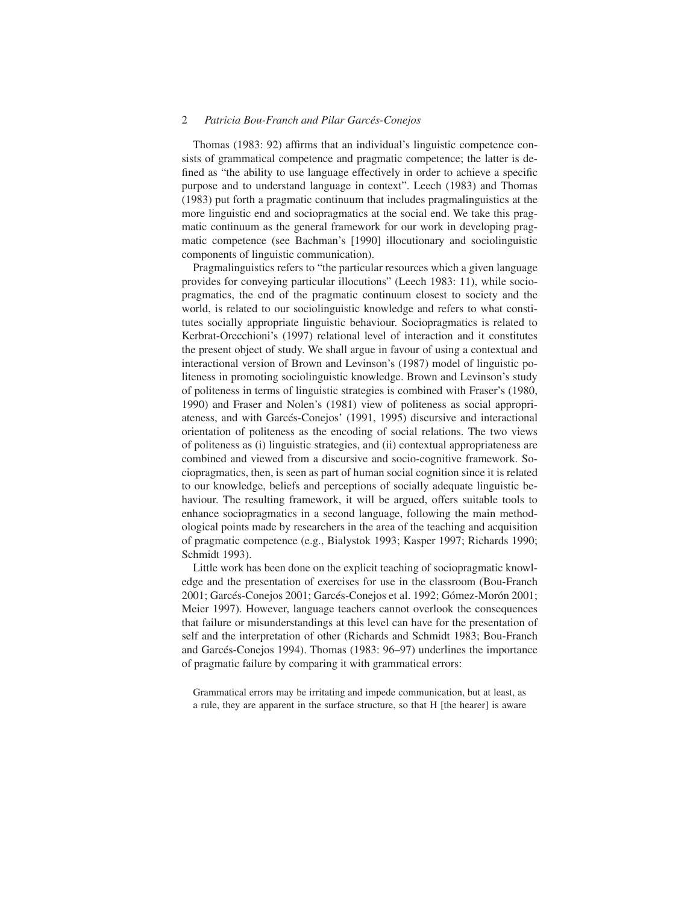Thomas (1983: 92) affirms that an individual's linguistic competence consists of grammatical competence and pragmatic competence; the latter is defined as "the ability to use language effectively in order to achieve a specific purpose and to understand language in context". Leech (1983) and Thomas (1983) put forth a pragmatic continuum that includes pragmalinguistics at the more linguistic end and sociopragmatics at the social end. We take this pragmatic continuum as the general framework for our work in developing pragmatic competence (see Bachman's [1990] illocutionary and sociolinguistic components of linguistic communication).

Pragmalinguistics refers to "the particular resources which a given language provides for conveying particular illocutions" (Leech 1983: 11), while sociopragmatics, the end of the pragmatic continuum closest to society and the world, is related to our sociolinguistic knowledge and refers to what constitutes socially appropriate linguistic behaviour. Sociopragmatics is related to Kerbrat-Orecchioni's (1997) relational level of interaction and it constitutes the present object of study. We shall argue in favour of using a contextual and interactional version of Brown and Levinson's (1987) model of linguistic politeness in promoting sociolinguistic knowledge. Brown and Levinson's study of politeness in terms of linguistic strategies is combined with Fraser's (1980, 1990) and Fraser and Nolen's (1981) view of politeness as social appropriateness, and with Garcés-Conejos' (1991, 1995) discursive and interactional orientation of politeness as the encoding of social relations. The two views of politeness as (i) linguistic strategies, and (ii) contextual appropriateness are combined and viewed from a discursive and socio-cognitive framework. Sociopragmatics, then, is seen as part of human social cognition since it is related to our knowledge, beliefs and perceptions of socially adequate linguistic behaviour. The resulting framework, it will be argued, offers suitable tools to enhance sociopragmatics in a second language, following the main methodological points made by researchers in the area of the teaching and acquisition of pragmatic competence (e.g., Bialystok 1993; Kasper 1997; Richards 1990; Schmidt 1993).

Little work has been done on the explicit teaching of sociopragmatic knowledge and the presentation of exercises for use in the classroom (Bou-Franch 2001; Garcés-Conejos 2001; Garcés-Conejos et al. 1992; Gómez-Morón 2001; Meier 1997). However, language teachers cannot overlook the consequences that failure or misunderstandings at this level can have for the presentation of self and the interpretation of other (Richards and Schmidt 1983; Bou-Franch and Garcés-Conejos 1994). Thomas (1983: 96–97) underlines the importance of pragmatic failure by comparing it with grammatical errors:

Grammatical errors may be irritating and impede communication, but at least, as a rule, they are apparent in the surface structure, so that H [the hearer] is aware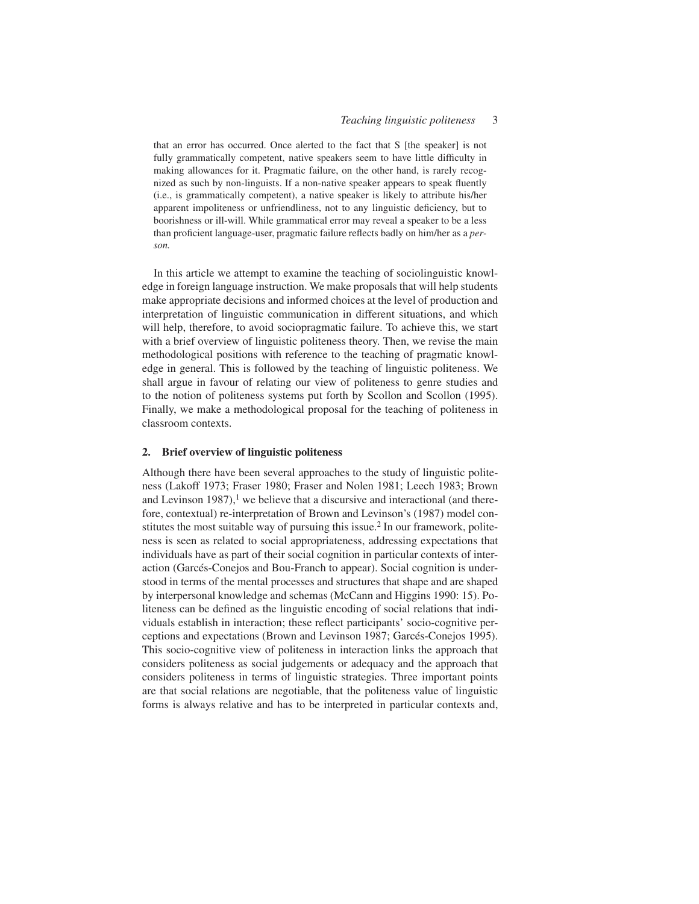## *Teaching linguistic politeness* 3

that an error has occurred. Once alerted to the fact that S [the speaker] is not fully grammatically competent, native speakers seem to have little difficulty in making allowances for it. Pragmatic failure, on the other hand, is rarely recognized as such by non-linguists. If a non-native speaker appears to speak fluently (i.e., is grammatically competent), a native speaker is likely to attribute his/her apparent impoliteness or unfriendliness, not to any linguistic deficiency, but to boorishness or ill-will. While grammatical error may reveal a speaker to be a less than proficient language-user, pragmatic failure reflects badly on him/her as a *person.*

In this article we attempt to examine the teaching of sociolinguistic knowledge in foreign language instruction. We make proposals that will help students make appropriate decisions and informed choices at the level of production and interpretation of linguistic communication in different situations, and which will help, therefore, to avoid sociopragmatic failure. To achieve this, we start with a brief overview of linguistic politeness theory. Then, we revise the main methodological positions with reference to the teaching of pragmatic knowledge in general. This is followed by the teaching of linguistic politeness. We shall argue in favour of relating our view of politeness to genre studies and to the notion of politeness systems put forth by Scollon and Scollon (1995). Finally, we make a methodological proposal for the teaching of politeness in classroom contexts.

#### **2. Brief overview of linguistic politeness**

Although there have been several approaches to the study of linguistic politeness (Lakoff 1973; Fraser 1980; Fraser and Nolen 1981; Leech 1983; Brown and Levinson  $1987$ ),<sup>1</sup> we believe that a discursive and interactional (and therefore, contextual) re-interpretation of Brown and Levinson's (1987) model constitutes the most suitable way of pursuing this issue.<sup>2</sup> In our framework, politeness is seen as related to social appropriateness, addressing expectations that individuals have as part of their social cognition in particular contexts of interaction (Garcés-Conejos and Bou-Franch to appear). Social cognition is understood in terms of the mental processes and structures that shape and are shaped by interpersonal knowledge and schemas (McCann and Higgins 1990: 15). Politeness can be defined as the linguistic encoding of social relations that individuals establish in interaction; these reflect participants' socio-cognitive perceptions and expectations (Brown and Levinson 1987; Garcés-Conejos 1995). This socio-cognitive view of politeness in interaction links the approach that considers politeness as social judgements or adequacy and the approach that considers politeness in terms of linguistic strategies. Three important points are that social relations are negotiable, that the politeness value of linguistic forms is always relative and has to be interpreted in particular contexts and,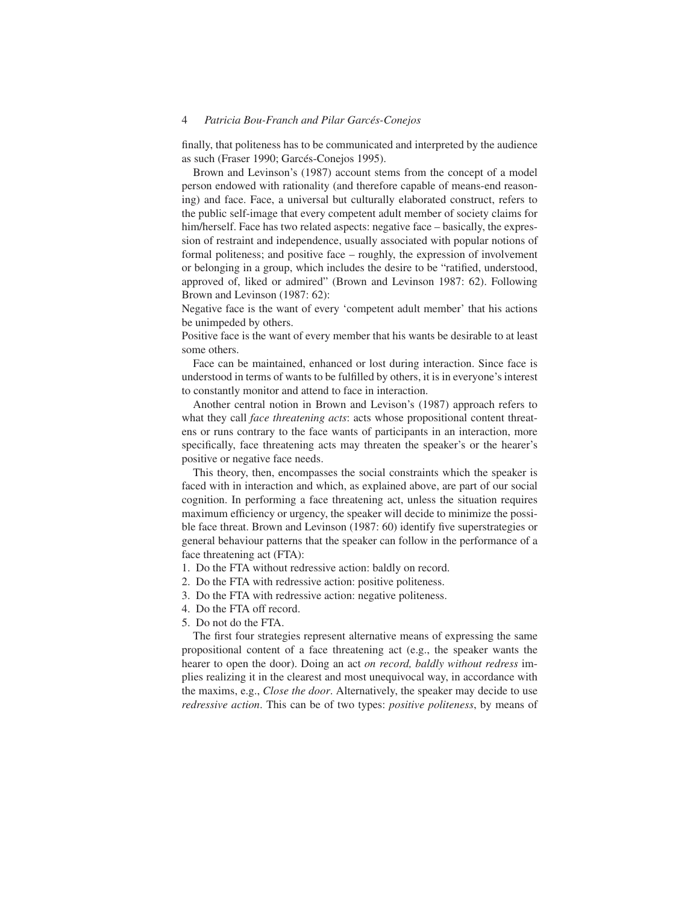finally, that politeness has to be communicated and interpreted by the audience as such (Fraser 1990; Garcés-Conejos 1995).

Brown and Levinson's (1987) account stems from the concept of a model person endowed with rationality (and therefore capable of means-end reasoning) and face. Face, a universal but culturally elaborated construct, refers to the public self-image that every competent adult member of society claims for him/herself. Face has two related aspects: negative face – basically, the expression of restraint and independence, usually associated with popular notions of formal politeness; and positive face – roughly, the expression of involvement or belonging in a group, which includes the desire to be "ratified, understood, approved of, liked or admired" (Brown and Levinson 1987: 62). Following Brown and Levinson (1987: 62):

Negative face is the want of every 'competent adult member' that his actions be unimpeded by others.

Positive face is the want of every member that his wants be desirable to at least some others.

Face can be maintained, enhanced or lost during interaction. Since face is understood in terms of wants to be fulfilled by others, it is in everyone's interest to constantly monitor and attend to face in interaction.

Another central notion in Brown and Levison's (1987) approach refers to what they call *face threatening acts*: acts whose propositional content threatens or runs contrary to the face wants of participants in an interaction, more specifically, face threatening acts may threaten the speaker's or the hearer's positive or negative face needs.

This theory, then, encompasses the social constraints which the speaker is faced with in interaction and which, as explained above, are part of our social cognition. In performing a face threatening act, unless the situation requires maximum efficiency or urgency, the speaker will decide to minimize the possible face threat. Brown and Levinson (1987: 60) identify five superstrategies or general behaviour patterns that the speaker can follow in the performance of a face threatening act (FTA):

- 1. Do the FTA without redressive action: baldly on record.
- 2. Do the FTA with redressive action: positive politeness.
- 3. Do the FTA with redressive action: negative politeness.
- 4. Do the FTA off record.
- 5. Do not do the FTA.

The first four strategies represent alternative means of expressing the same propositional content of a face threatening act (e.g., the speaker wants the hearer to open the door). Doing an act *on record, baldly without redress* implies realizing it in the clearest and most unequivocal way, in accordance with the maxims, e.g., *Close the door*. Alternatively, the speaker may decide to use *redressive action*. This can be of two types: *positive politeness*, by means of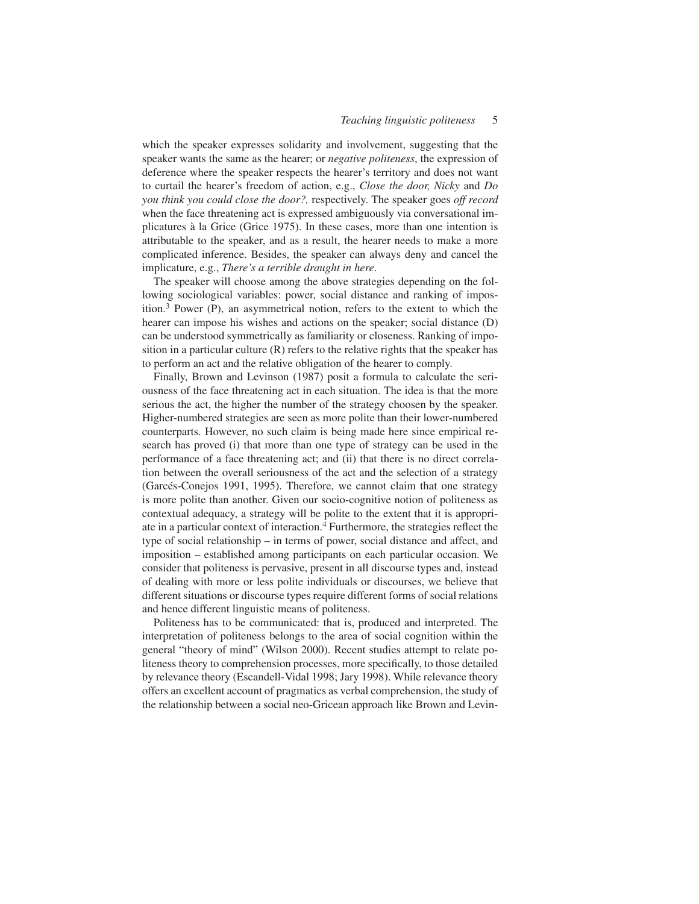which the speaker expresses solidarity and involvement, suggesting that the speaker wants the same as the hearer; or *negative politeness*, the expression of deference where the speaker respects the hearer's territory and does not want to curtail the hearer's freedom of action, e.g., *Close the door, Nicky* and *Do you think you could close the door?,* respectively. The speaker goes *off record* when the face threatening act is expressed ambiguously via conversational implicatures à la Grice (Grice 1975). In these cases, more than one intention is attributable to the speaker, and as a result, the hearer needs to make a more complicated inference. Besides, the speaker can always deny and cancel the implicature, e.g., *There's a terrible draught in here*.

The speaker will choose among the above strategies depending on the following sociological variables: power, social distance and ranking of imposition.<sup>3</sup> Power (P), an asymmetrical notion, refers to the extent to which the hearer can impose his wishes and actions on the speaker; social distance (D) can be understood symmetrically as familiarity or closeness. Ranking of imposition in a particular culture (R) refers to the relative rights that the speaker has to perform an act and the relative obligation of the hearer to comply.

Finally, Brown and Levinson (1987) posit a formula to calculate the seriousness of the face threatening act in each situation. The idea is that the more serious the act, the higher the number of the strategy choosen by the speaker. Higher-numbered strategies are seen as more polite than their lower-numbered counterparts. However, no such claim is being made here since empirical research has proved (i) that more than one type of strategy can be used in the performance of a face threatening act; and (ii) that there is no direct correlation between the overall seriousness of the act and the selection of a strategy (Garcés-Conejos 1991, 1995). Therefore, we cannot claim that one strategy is more polite than another. Given our socio-cognitive notion of politeness as contextual adequacy, a strategy will be polite to the extent that it is appropriate in a particular context of interaction.<sup>4</sup> Furthermore, the strategies reflect the type of social relationship – in terms of power, social distance and affect, and imposition – established among participants on each particular occasion. We consider that politeness is pervasive, present in all discourse types and, instead of dealing with more or less polite individuals or discourses, we believe that different situations or discourse types require different forms of social relations and hence different linguistic means of politeness.

Politeness has to be communicated: that is, produced and interpreted. The interpretation of politeness belongs to the area of social cognition within the general "theory of mind" (Wilson 2000). Recent studies attempt to relate politeness theory to comprehension processes, more specifically, to those detailed by relevance theory (Escandell-Vidal 1998; Jary 1998). While relevance theory offers an excellent account of pragmatics as verbal comprehension, the study of the relationship between a social neo-Gricean approach like Brown and Levin-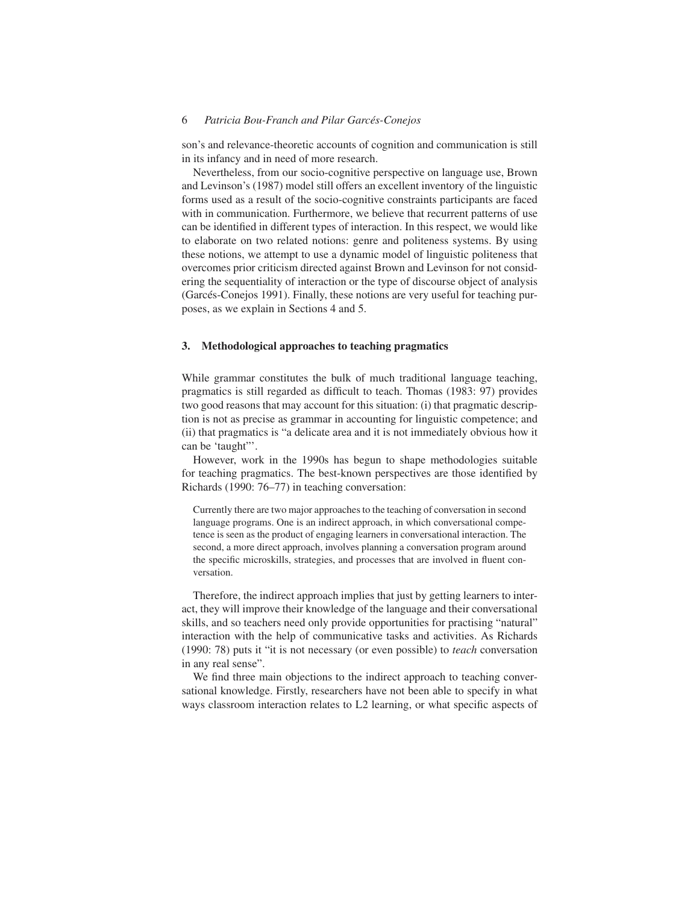son's and relevance-theoretic accounts of cognition and communication is still in its infancy and in need of more research.

Nevertheless, from our socio-cognitive perspective on language use, Brown and Levinson's (1987) model still offers an excellent inventory of the linguistic forms used as a result of the socio-cognitive constraints participants are faced with in communication. Furthermore, we believe that recurrent patterns of use can be identified in different types of interaction. In this respect, we would like to elaborate on two related notions: genre and politeness systems. By using these notions, we attempt to use a dynamic model of linguistic politeness that overcomes prior criticism directed against Brown and Levinson for not considering the sequentiality of interaction or the type of discourse object of analysis (Garcés-Conejos 1991). Finally, these notions are very useful for teaching purposes, as we explain in Sections 4 and 5.

# **3. Methodological approaches to teaching pragmatics**

While grammar constitutes the bulk of much traditional language teaching, pragmatics is still regarded as difficult to teach. Thomas (1983: 97) provides two good reasons that may account for this situation: (i) that pragmatic description is not as precise as grammar in accounting for linguistic competence; and (ii) that pragmatics is "a delicate area and it is not immediately obvious how it can be 'taught"'.

However, work in the 1990s has begun to shape methodologies suitable for teaching pragmatics. The best-known perspectives are those identified by Richards (1990: 76–77) in teaching conversation:

Currently there are two major approaches to the teaching of conversation in second language programs. One is an indirect approach, in which conversational competence is seen as the product of engaging learners in conversational interaction. The second, a more direct approach, involves planning a conversation program around the specific microskills, strategies, and processes that are involved in fluent conversation.

Therefore, the indirect approach implies that just by getting learners to interact, they will improve their knowledge of the language and their conversational skills, and so teachers need only provide opportunities for practising "natural" interaction with the help of communicative tasks and activities. As Richards (1990: 78) puts it "it is not necessary (or even possible) to *teach* conversation in any real sense".

We find three main objections to the indirect approach to teaching conversational knowledge. Firstly, researchers have not been able to specify in what ways classroom interaction relates to L2 learning, or what specific aspects of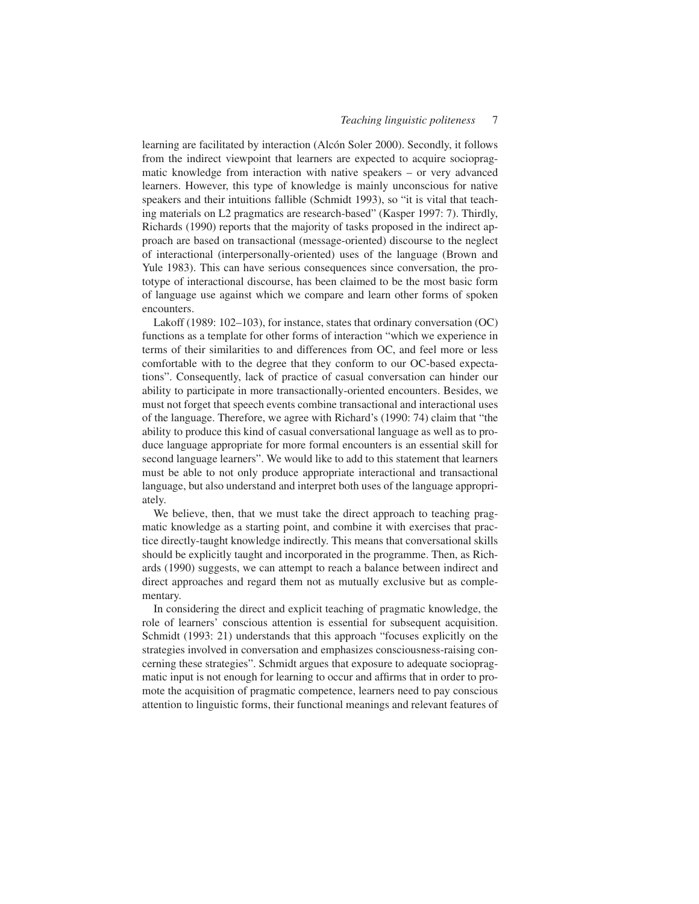learning are facilitated by interaction (Alcón Soler 2000). Secondly, it follows from the indirect viewpoint that learners are expected to acquire sociopragmatic knowledge from interaction with native speakers – or very advanced learners. However, this type of knowledge is mainly unconscious for native speakers and their intuitions fallible (Schmidt 1993), so "it is vital that teaching materials on L2 pragmatics are research-based" (Kasper 1997: 7). Thirdly, Richards (1990) reports that the majority of tasks proposed in the indirect approach are based on transactional (message-oriented) discourse to the neglect of interactional (interpersonally-oriented) uses of the language (Brown and Yule 1983). This can have serious consequences since conversation, the prototype of interactional discourse, has been claimed to be the most basic form of language use against which we compare and learn other forms of spoken encounters.

Lakoff (1989: 102–103), for instance, states that ordinary conversation (OC) functions as a template for other forms of interaction "which we experience in terms of their similarities to and differences from OC, and feel more or less comfortable with to the degree that they conform to our OC-based expectations". Consequently, lack of practice of casual conversation can hinder our ability to participate in more transactionally-oriented encounters. Besides, we must not forget that speech events combine transactional and interactional uses of the language. Therefore, we agree with Richard's (1990: 74) claim that "the ability to produce this kind of casual conversational language as well as to produce language appropriate for more formal encounters is an essential skill for second language learners". We would like to add to this statement that learners must be able to not only produce appropriate interactional and transactional language, but also understand and interpret both uses of the language appropriately.

We believe, then, that we must take the direct approach to teaching pragmatic knowledge as a starting point, and combine it with exercises that practice directly-taught knowledge indirectly. This means that conversational skills should be explicitly taught and incorporated in the programme. Then, as Richards (1990) suggests, we can attempt to reach a balance between indirect and direct approaches and regard them not as mutually exclusive but as complementary.

In considering the direct and explicit teaching of pragmatic knowledge, the role of learners' conscious attention is essential for subsequent acquisition. Schmidt (1993: 21) understands that this approach "focuses explicitly on the strategies involved in conversation and emphasizes consciousness-raising concerning these strategies". Schmidt argues that exposure to adequate sociopragmatic input is not enough for learning to occur and affirms that in order to promote the acquisition of pragmatic competence, learners need to pay conscious attention to linguistic forms, their functional meanings and relevant features of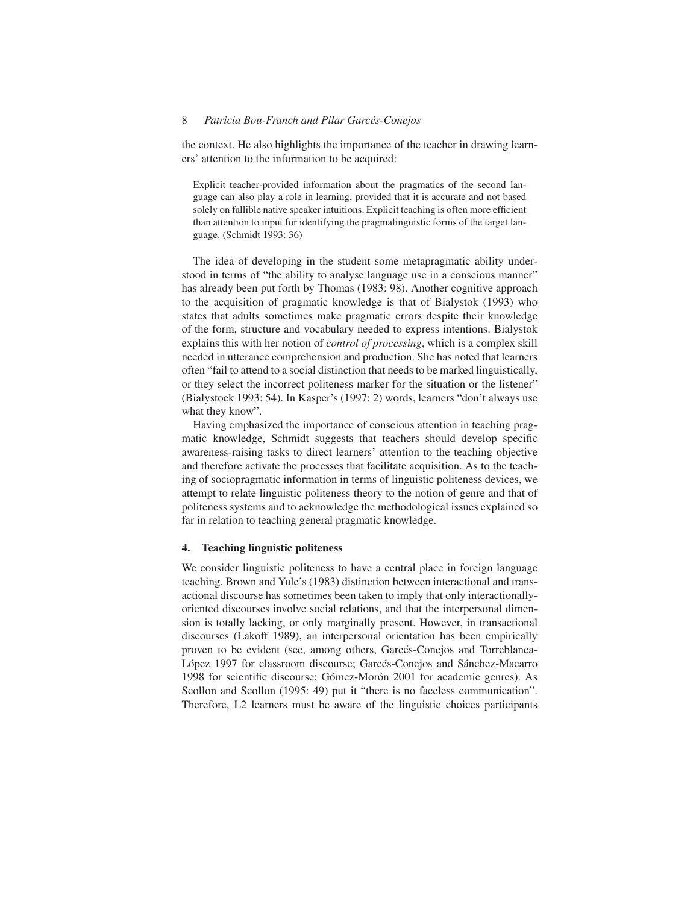the context. He also highlights the importance of the teacher in drawing learners' attention to the information to be acquired:

Explicit teacher-provided information about the pragmatics of the second language can also play a role in learning, provided that it is accurate and not based solely on fallible native speaker intuitions. Explicit teaching is often more efficient than attention to input for identifying the pragmalinguistic forms of the target language. (Schmidt 1993: 36)

The idea of developing in the student some metapragmatic ability understood in terms of "the ability to analyse language use in a conscious manner" has already been put forth by Thomas (1983: 98). Another cognitive approach to the acquisition of pragmatic knowledge is that of Bialystok (1993) who states that adults sometimes make pragmatic errors despite their knowledge of the form, structure and vocabulary needed to express intentions. Bialystok explains this with her notion of *control of processing*, which is a complex skill needed in utterance comprehension and production. She has noted that learners often "fail to attend to a social distinction that needs to be marked linguistically, or they select the incorrect politeness marker for the situation or the listener" (Bialystock 1993: 54). In Kasper's (1997: 2) words, learners "don't always use what they know".

Having emphasized the importance of conscious attention in teaching pragmatic knowledge, Schmidt suggests that teachers should develop specific awareness-raising tasks to direct learners' attention to the teaching objective and therefore activate the processes that facilitate acquisition. As to the teaching of sociopragmatic information in terms of linguistic politeness devices, we attempt to relate linguistic politeness theory to the notion of genre and that of politeness systems and to acknowledge the methodological issues explained so far in relation to teaching general pragmatic knowledge.

# **4. Teaching linguistic politeness**

We consider linguistic politeness to have a central place in foreign language teaching. Brown and Yule's (1983) distinction between interactional and transactional discourse has sometimes been taken to imply that only interactionallyoriented discourses involve social relations, and that the interpersonal dimension is totally lacking, or only marginally present. However, in transactional discourses (Lakoff 1989), an interpersonal orientation has been empirically proven to be evident (see, among others, Garcés-Conejos and Torreblanca-López 1997 for classroom discourse; Garcés-Conejos and Sánchez-Macarro 1998 for scientific discourse; Gómez-Morón 2001 for academic genres). As Scollon and Scollon (1995: 49) put it "there is no faceless communication". Therefore, L2 learners must be aware of the linguistic choices participants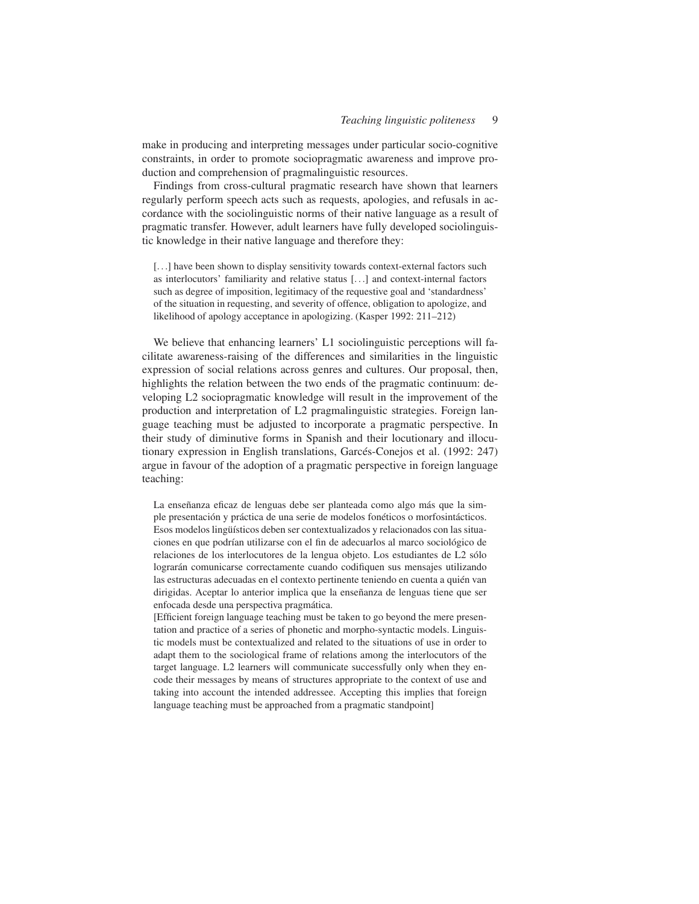make in producing and interpreting messages under particular socio-cognitive constraints, in order to promote sociopragmatic awareness and improve production and comprehension of pragmalinguistic resources.

Findings from cross-cultural pragmatic research have shown that learners regularly perform speech acts such as requests, apologies, and refusals in accordance with the sociolinguistic norms of their native language as a result of pragmatic transfer. However, adult learners have fully developed sociolinguistic knowledge in their native language and therefore they:

[...] have been shown to display sensitivity towards context-external factors such as interlocutors' familiarity and relative status [*...*] and context-internal factors such as degree of imposition, legitimacy of the requestive goal and 'standardness' of the situation in requesting, and severity of offence, obligation to apologize, and likelihood of apology acceptance in apologizing. (Kasper 1992: 211–212)

We believe that enhancing learners' L1 sociolinguistic perceptions will facilitate awareness-raising of the differences and similarities in the linguistic expression of social relations across genres and cultures. Our proposal, then, highlights the relation between the two ends of the pragmatic continuum: developing L2 sociopragmatic knowledge will result in the improvement of the production and interpretation of L2 pragmalinguistic strategies. Foreign language teaching must be adjusted to incorporate a pragmatic perspective. In their study of diminutive forms in Spanish and their locutionary and illocutionary expression in English translations, Garcés-Conejos et al. (1992: 247) argue in favour of the adoption of a pragmatic perspective in foreign language teaching:

La enseñanza eficaz de lenguas debe ser planteada como algo más que la simple presentación y práctica de una serie de modelos fonéticos o morfosintácticos. Esos modelos lingüísticos deben ser contextualizados y relacionados con las situaciones en que podrían utilizarse con el fin de adecuarlos al marco sociológico de relaciones de los interlocutores de la lengua objeto. Los estudiantes de L2 sólo lograrán comunicarse correctamente cuando codifiquen sus mensajes utilizando las estructuras adecuadas en el contexto pertinente teniendo en cuenta a quién van dirigidas. Aceptar lo anterior implica que la enseñanza de lenguas tiene que ser enfocada desde una perspectiva pragmática.

[Efficient foreign language teaching must be taken to go beyond the mere presentation and practice of a series of phonetic and morpho-syntactic models. Linguistic models must be contextualized and related to the situations of use in order to adapt them to the sociological frame of relations among the interlocutors of the target language. L2 learners will communicate successfully only when they encode their messages by means of structures appropriate to the context of use and taking into account the intended addressee. Accepting this implies that foreign language teaching must be approached from a pragmatic standpoint]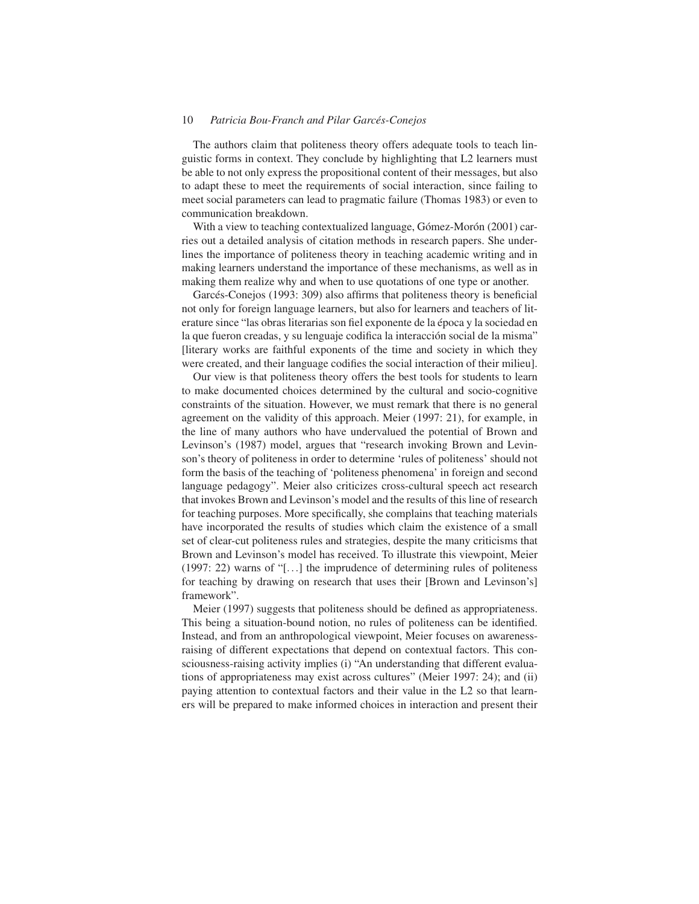The authors claim that politeness theory offers adequate tools to teach linguistic forms in context. They conclude by highlighting that L2 learners must be able to not only express the propositional content of their messages, but also to adapt these to meet the requirements of social interaction, since failing to meet social parameters can lead to pragmatic failure (Thomas 1983) or even to communication breakdown.

With a view to teaching contextualized language, Gómez-Morón (2001) carries out a detailed analysis of citation methods in research papers. She underlines the importance of politeness theory in teaching academic writing and in making learners understand the importance of these mechanisms, as well as in making them realize why and when to use quotations of one type or another.

Garcés-Conejos (1993: 309) also affirms that politeness theory is beneficial not only for foreign language learners, but also for learners and teachers of literature since "las obras literarias son fiel exponente de la época y la sociedad en la que fueron creadas, y su lenguaje codifica la interacción social de la misma" [literary works are faithful exponents of the time and society in which they were created, and their language codifies the social interaction of their milieu].

Our view is that politeness theory offers the best tools for students to learn to make documented choices determined by the cultural and socio-cognitive constraints of the situation. However, we must remark that there is no general agreement on the validity of this approach. Meier (1997: 21), for example, in the line of many authors who have undervalued the potential of Brown and Levinson's (1987) model, argues that "research invoking Brown and Levinson's theory of politeness in order to determine 'rules of politeness' should not form the basis of the teaching of 'politeness phenomena' in foreign and second language pedagogy". Meier also criticizes cross-cultural speech act research that invokes Brown and Levinson's model and the results of this line of research for teaching purposes. More specifically, she complains that teaching materials have incorporated the results of studies which claim the existence of a small set of clear-cut politeness rules and strategies, despite the many criticisms that Brown and Levinson's model has received. To illustrate this viewpoint, Meier (1997: 22) warns of "[*...*] the imprudence of determining rules of politeness for teaching by drawing on research that uses their [Brown and Levinson's] framework".

Meier (1997) suggests that politeness should be defined as appropriateness. This being a situation-bound notion, no rules of politeness can be identified. Instead, and from an anthropological viewpoint, Meier focuses on awarenessraising of different expectations that depend on contextual factors. This consciousness-raising activity implies (i) "An understanding that different evaluations of appropriateness may exist across cultures" (Meier 1997: 24); and (ii) paying attention to contextual factors and their value in the L2 so that learners will be prepared to make informed choices in interaction and present their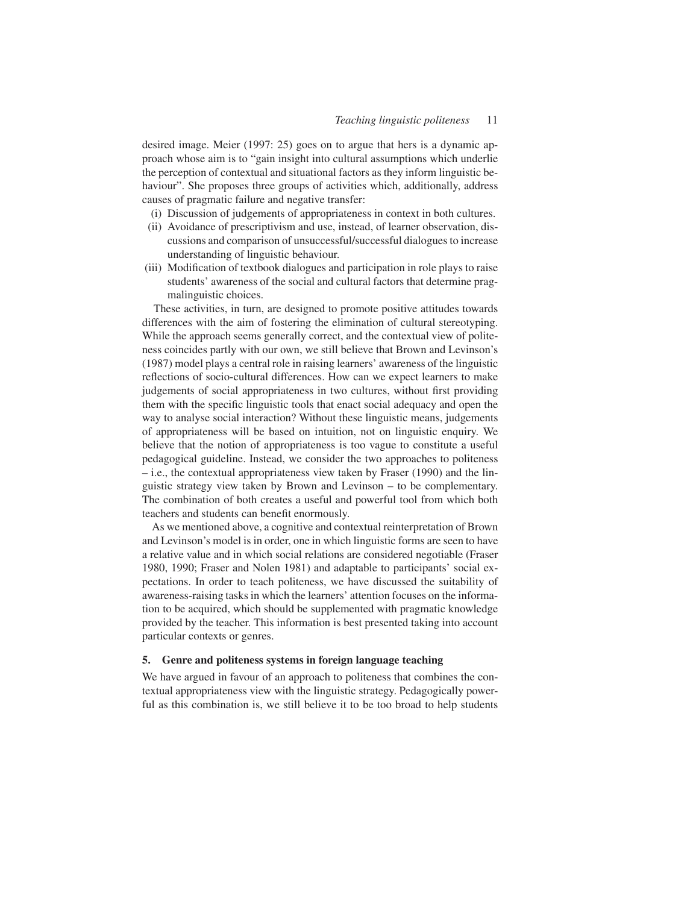desired image. Meier (1997: 25) goes on to argue that hers is a dynamic approach whose aim is to "gain insight into cultural assumptions which underlie the perception of contextual and situational factors as they inform linguistic behaviour". She proposes three groups of activities which, additionally, address causes of pragmatic failure and negative transfer:

- (i) Discussion of judgements of appropriateness in context in both cultures.
- (ii) Avoidance of prescriptivism and use, instead, of learner observation, discussions and comparison of unsuccessful/successful dialogues to increase understanding of linguistic behaviour.
- (iii) Modification of textbook dialogues and participation in role plays to raise students' awareness of the social and cultural factors that determine pragmalinguistic choices.

These activities, in turn, are designed to promote positive attitudes towards differences with the aim of fostering the elimination of cultural stereotyping. While the approach seems generally correct, and the contextual view of politeness coincides partly with our own, we still believe that Brown and Levinson's (1987) model plays a central role in raising learners' awareness of the linguistic reflections of socio-cultural differences. How can we expect learners to make judgements of social appropriateness in two cultures, without first providing them with the specific linguistic tools that enact social adequacy and open the way to analyse social interaction? Without these linguistic means, judgements of appropriateness will be based on intuition, not on linguistic enquiry. We believe that the notion of appropriateness is too vague to constitute a useful pedagogical guideline. Instead, we consider the two approaches to politeness – i.e., the contextual appropriateness view taken by Fraser (1990) and the linguistic strategy view taken by Brown and Levinson – to be complementary. The combination of both creates a useful and powerful tool from which both teachers and students can benefit enormously.

As we mentioned above, a cognitive and contextual reinterpretation of Brown and Levinson's model is in order, one in which linguistic forms are seen to have a relative value and in which social relations are considered negotiable (Fraser 1980, 1990; Fraser and Nolen 1981) and adaptable to participants' social expectations. In order to teach politeness, we have discussed the suitability of awareness-raising tasks in which the learners' attention focuses on the information to be acquired, which should be supplemented with pragmatic knowledge provided by the teacher. This information is best presented taking into account particular contexts or genres.

# **5. Genre and politeness systems in foreign language teaching**

We have argued in favour of an approach to politeness that combines the contextual appropriateness view with the linguistic strategy. Pedagogically powerful as this combination is, we still believe it to be too broad to help students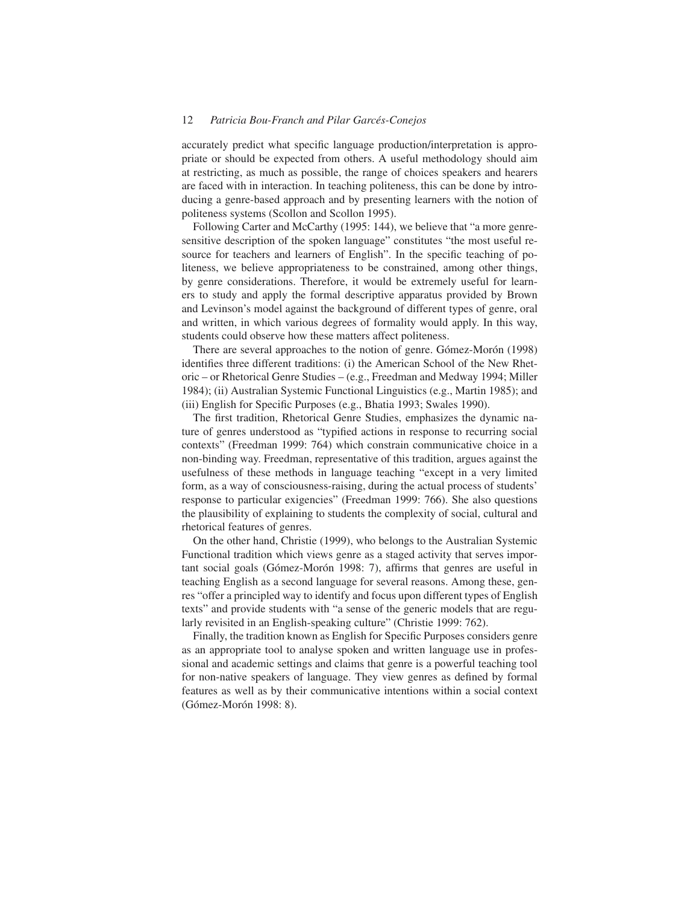accurately predict what specific language production/interpretation is appropriate or should be expected from others. A useful methodology should aim at restricting, as much as possible, the range of choices speakers and hearers are faced with in interaction. In teaching politeness, this can be done by introducing a genre-based approach and by presenting learners with the notion of politeness systems (Scollon and Scollon 1995).

Following Carter and McCarthy (1995: 144), we believe that "a more genresensitive description of the spoken language" constitutes "the most useful resource for teachers and learners of English". In the specific teaching of politeness, we believe appropriateness to be constrained, among other things, by genre considerations. Therefore, it would be extremely useful for learners to study and apply the formal descriptive apparatus provided by Brown and Levinson's model against the background of different types of genre, oral and written, in which various degrees of formality would apply. In this way, students could observe how these matters affect politeness.

There are several approaches to the notion of genre. Gómez-Morón (1998) identifies three different traditions: (i) the American School of the New Rhetoric – or Rhetorical Genre Studies – (e.g., Freedman and Medway 1994; Miller 1984); (ii) Australian Systemic Functional Linguistics (e.g., Martin 1985); and (iii) English for Specific Purposes (e.g., Bhatia 1993; Swales 1990).

The first tradition, Rhetorical Genre Studies, emphasizes the dynamic nature of genres understood as "typified actions in response to recurring social contexts" (Freedman 1999: 764) which constrain communicative choice in a non-binding way. Freedman, representative of this tradition, argues against the usefulness of these methods in language teaching "except in a very limited form, as a way of consciousness-raising, during the actual process of students' response to particular exigencies" (Freedman 1999: 766). She also questions the plausibility of explaining to students the complexity of social, cultural and rhetorical features of genres.

On the other hand, Christie (1999), who belongs to the Australian Systemic Functional tradition which views genre as a staged activity that serves important social goals (Gómez-Morón 1998: 7), affirms that genres are useful in teaching English as a second language for several reasons. Among these, genres "offer a principled way to identify and focus upon different types of English texts" and provide students with "a sense of the generic models that are regularly revisited in an English-speaking culture" (Christie 1999: 762).

Finally, the tradition known as English for Specific Purposes considers genre as an appropriate tool to analyse spoken and written language use in professional and academic settings and claims that genre is a powerful teaching tool for non-native speakers of language. They view genres as defined by formal features as well as by their communicative intentions within a social context (Gómez-Morón 1998: 8).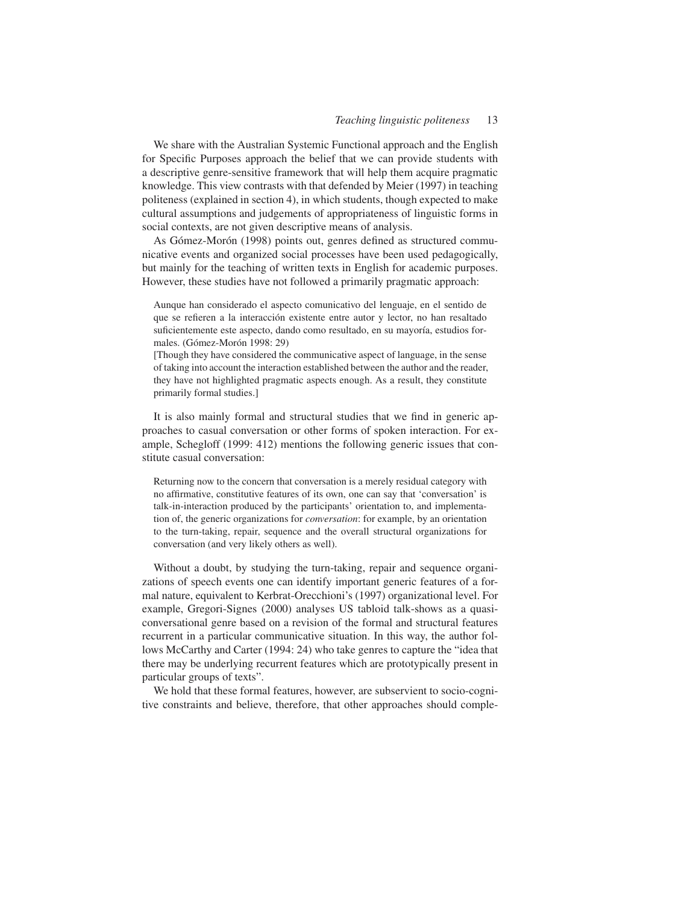#### *Teaching linguistic politeness* 13

We share with the Australian Systemic Functional approach and the English for Specific Purposes approach the belief that we can provide students with a descriptive genre-sensitive framework that will help them acquire pragmatic knowledge. This view contrasts with that defended by Meier (1997) in teaching politeness (explained in section 4), in which students, though expected to make cultural assumptions and judgements of appropriateness of linguistic forms in social contexts, are not given descriptive means of analysis.

As Gómez-Morón (1998) points out, genres defined as structured communicative events and organized social processes have been used pedagogically, but mainly for the teaching of written texts in English for academic purposes. However, these studies have not followed a primarily pragmatic approach:

Aunque han considerado el aspecto comunicativo del lenguaje, en el sentido de que se refieren a la interacción existente entre autor y lector, no han resaltado suficientemente este aspecto, dando como resultado, en su mayoría, estudios formales. (Gómez-Morón 1998: 29)

[Though they have considered the communicative aspect of language, in the sense of taking into account the interaction established between the author and the reader, they have not highlighted pragmatic aspects enough. As a result, they constitute primarily formal studies.]

It is also mainly formal and structural studies that we find in generic approaches to casual conversation or other forms of spoken interaction. For example, Schegloff (1999: 412) mentions the following generic issues that constitute casual conversation:

Returning now to the concern that conversation is a merely residual category with no affirmative, constitutive features of its own, one can say that 'conversation' is talk-in-interaction produced by the participants' orientation to, and implementation of, the generic organizations for *conversation*: for example, by an orientation to the turn-taking, repair, sequence and the overall structural organizations for conversation (and very likely others as well).

Without a doubt, by studying the turn-taking, repair and sequence organizations of speech events one can identify important generic features of a formal nature, equivalent to Kerbrat-Orecchioni's (1997) organizational level. For example, Gregori-Signes (2000) analyses US tabloid talk-shows as a quasiconversational genre based on a revision of the formal and structural features recurrent in a particular communicative situation. In this way, the author follows McCarthy and Carter (1994: 24) who take genres to capture the "idea that there may be underlying recurrent features which are prototypically present in particular groups of texts".

We hold that these formal features, however, are subservient to socio-cognitive constraints and believe, therefore, that other approaches should comple-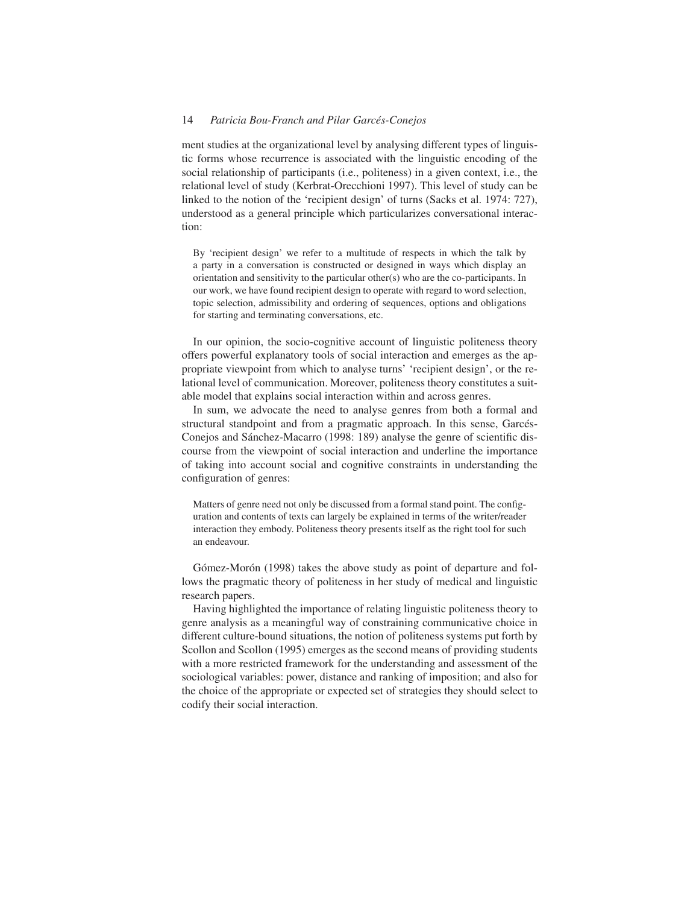ment studies at the organizational level by analysing different types of linguistic forms whose recurrence is associated with the linguistic encoding of the social relationship of participants (i.e., politeness) in a given context, i.e., the relational level of study (Kerbrat-Orecchioni 1997). This level of study can be linked to the notion of the 'recipient design' of turns (Sacks et al. 1974: 727), understood as a general principle which particularizes conversational interaction:

By 'recipient design' we refer to a multitude of respects in which the talk by a party in a conversation is constructed or designed in ways which display an orientation and sensitivity to the particular other(s) who are the co-participants. In our work, we have found recipient design to operate with regard to word selection, topic selection, admissibility and ordering of sequences, options and obligations for starting and terminating conversations, etc.

In our opinion, the socio-cognitive account of linguistic politeness theory offers powerful explanatory tools of social interaction and emerges as the appropriate viewpoint from which to analyse turns' 'recipient design', or the relational level of communication. Moreover, politeness theory constitutes a suitable model that explains social interaction within and across genres.

In sum, we advocate the need to analyse genres from both a formal and structural standpoint and from a pragmatic approach. In this sense, Garcés-Conejos and Sánchez-Macarro (1998: 189) analyse the genre of scientific discourse from the viewpoint of social interaction and underline the importance of taking into account social and cognitive constraints in understanding the configuration of genres:

Matters of genre need not only be discussed from a formal stand point. The configuration and contents of texts can largely be explained in terms of the writer/reader interaction they embody. Politeness theory presents itself as the right tool for such an endeavour.

Gómez-Morón (1998) takes the above study as point of departure and follows the pragmatic theory of politeness in her study of medical and linguistic research papers.

Having highlighted the importance of relating linguistic politeness theory to genre analysis as a meaningful way of constraining communicative choice in different culture-bound situations, the notion of politeness systems put forth by Scollon and Scollon (1995) emerges as the second means of providing students with a more restricted framework for the understanding and assessment of the sociological variables: power, distance and ranking of imposition; and also for the choice of the appropriate or expected set of strategies they should select to codify their social interaction.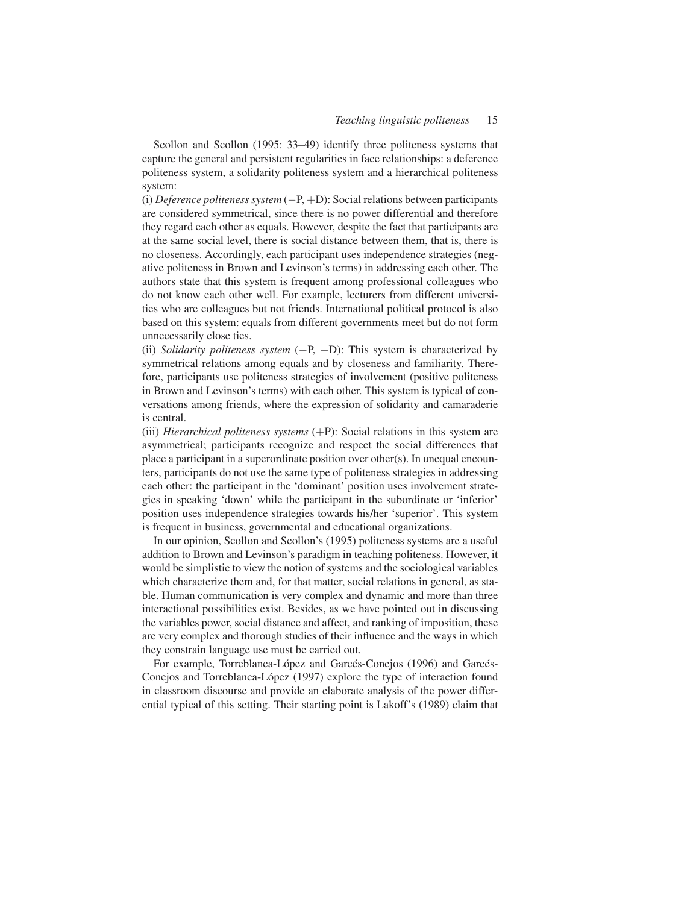Scollon and Scollon (1995: 33–49) identify three politeness systems that capture the general and persistent regularities in face relationships: a deference politeness system, a solidarity politeness system and a hierarchical politeness system:

(i) *Deference politeness system* (−P, +D): Social relations between participants are considered symmetrical, since there is no power differential and therefore they regard each other as equals. However, despite the fact that participants are at the same social level, there is social distance between them, that is, there is no closeness. Accordingly, each participant uses independence strategies (negative politeness in Brown and Levinson's terms) in addressing each other. The authors state that this system is frequent among professional colleagues who do not know each other well. For example, lecturers from different universities who are colleagues but not friends. International political protocol is also based on this system: equals from different governments meet but do not form unnecessarily close ties.

(ii) *Solidarity politeness system* (−P, −D): This system is characterized by symmetrical relations among equals and by closeness and familiarity. Therefore, participants use politeness strategies of involvement (positive politeness in Brown and Levinson's terms) with each other. This system is typical of conversations among friends, where the expression of solidarity and camaraderie is central.

(iii) *Hierarchical politeness systems* (+P): Social relations in this system are asymmetrical; participants recognize and respect the social differences that place a participant in a superordinate position over other(s). In unequal encounters, participants do not use the same type of politeness strategies in addressing each other: the participant in the 'dominant' position uses involvement strategies in speaking 'down' while the participant in the subordinate or 'inferior' position uses independence strategies towards his/her 'superior'. This system is frequent in business, governmental and educational organizations.

In our opinion, Scollon and Scollon's (1995) politeness systems are a useful addition to Brown and Levinson's paradigm in teaching politeness. However, it would be simplistic to view the notion of systems and the sociological variables which characterize them and, for that matter, social relations in general, as stable. Human communication is very complex and dynamic and more than three interactional possibilities exist. Besides, as we have pointed out in discussing the variables power, social distance and affect, and ranking of imposition, these are very complex and thorough studies of their influence and the ways in which they constrain language use must be carried out.

For example, Torreblanca-López and Garcés-Conejos (1996) and Garcés-Conejos and Torreblanca-López (1997) explore the type of interaction found in classroom discourse and provide an elaborate analysis of the power differential typical of this setting. Their starting point is Lakoff's (1989) claim that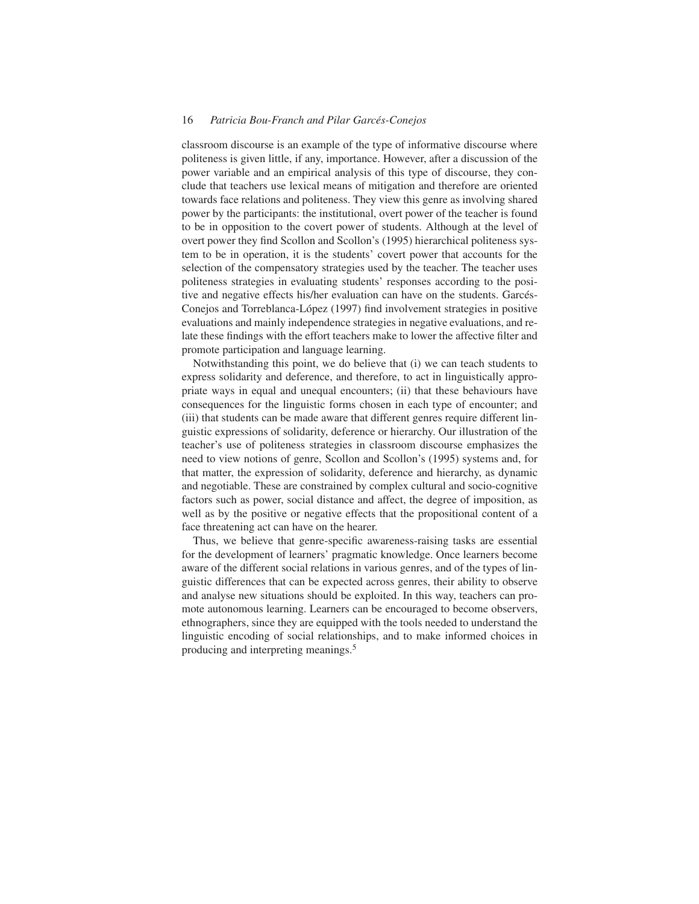classroom discourse is an example of the type of informative discourse where politeness is given little, if any, importance. However, after a discussion of the power variable and an empirical analysis of this type of discourse, they conclude that teachers use lexical means of mitigation and therefore are oriented towards face relations and politeness. They view this genre as involving shared power by the participants: the institutional, overt power of the teacher is found to be in opposition to the covert power of students. Although at the level of overt power they find Scollon and Scollon's (1995) hierarchical politeness system to be in operation, it is the students' covert power that accounts for the selection of the compensatory strategies used by the teacher. The teacher uses politeness strategies in evaluating students' responses according to the positive and negative effects his/her evaluation can have on the students. Garcés-Conejos and Torreblanca-López (1997) find involvement strategies in positive evaluations and mainly independence strategies in negative evaluations, and relate these findings with the effort teachers make to lower the affective filter and promote participation and language learning.

Notwithstanding this point, we do believe that (i) we can teach students to express solidarity and deference, and therefore, to act in linguistically appropriate ways in equal and unequal encounters; (ii) that these behaviours have consequences for the linguistic forms chosen in each type of encounter; and (iii) that students can be made aware that different genres require different linguistic expressions of solidarity, deference or hierarchy. Our illustration of the teacher's use of politeness strategies in classroom discourse emphasizes the need to view notions of genre, Scollon and Scollon's (1995) systems and, for that matter, the expression of solidarity, deference and hierarchy, as dynamic and negotiable. These are constrained by complex cultural and socio-cognitive factors such as power, social distance and affect, the degree of imposition, as well as by the positive or negative effects that the propositional content of a face threatening act can have on the hearer.

Thus, we believe that genre-specific awareness-raising tasks are essential for the development of learners' pragmatic knowledge. Once learners become aware of the different social relations in various genres, and of the types of linguistic differences that can be expected across genres, their ability to observe and analyse new situations should be exploited. In this way, teachers can promote autonomous learning. Learners can be encouraged to become observers, ethnographers, since they are equipped with the tools needed to understand the linguistic encoding of social relationships, and to make informed choices in producing and interpreting meanings.<sup>5</sup>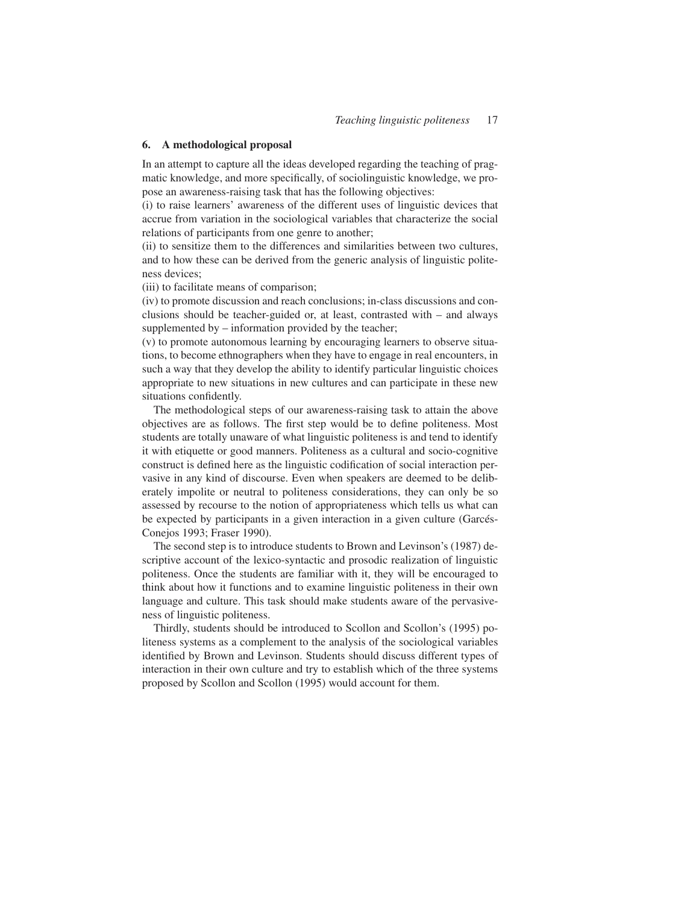# **6. A methodological proposal**

In an attempt to capture all the ideas developed regarding the teaching of pragmatic knowledge, and more specifically, of sociolinguistic knowledge, we propose an awareness-raising task that has the following objectives:

(i) to raise learners' awareness of the different uses of linguistic devices that accrue from variation in the sociological variables that characterize the social relations of participants from one genre to another;

(ii) to sensitize them to the differences and similarities between two cultures, and to how these can be derived from the generic analysis of linguistic politeness devices;

(iii) to facilitate means of comparison;

(iv) to promote discussion and reach conclusions; in-class discussions and conclusions should be teacher-guided or, at least, contrasted with – and always supplemented by – information provided by the teacher;

(v) to promote autonomous learning by encouraging learners to observe situations, to become ethnographers when they have to engage in real encounters, in such a way that they develop the ability to identify particular linguistic choices appropriate to new situations in new cultures and can participate in these new situations confidently.

The methodological steps of our awareness-raising task to attain the above objectives are as follows. The first step would be to define politeness. Most students are totally unaware of what linguistic politeness is and tend to identify it with etiquette or good manners. Politeness as a cultural and socio-cognitive construct is defined here as the linguistic codification of social interaction pervasive in any kind of discourse. Even when speakers are deemed to be deliberately impolite or neutral to politeness considerations, they can only be so assessed by recourse to the notion of appropriateness which tells us what can be expected by participants in a given interaction in a given culture (Garcés-Conejos 1993; Fraser 1990).

The second step is to introduce students to Brown and Levinson's (1987) descriptive account of the lexico-syntactic and prosodic realization of linguistic politeness. Once the students are familiar with it, they will be encouraged to think about how it functions and to examine linguistic politeness in their own language and culture. This task should make students aware of the pervasiveness of linguistic politeness.

Thirdly, students should be introduced to Scollon and Scollon's (1995) politeness systems as a complement to the analysis of the sociological variables identified by Brown and Levinson. Students should discuss different types of interaction in their own culture and try to establish which of the three systems proposed by Scollon and Scollon (1995) would account for them.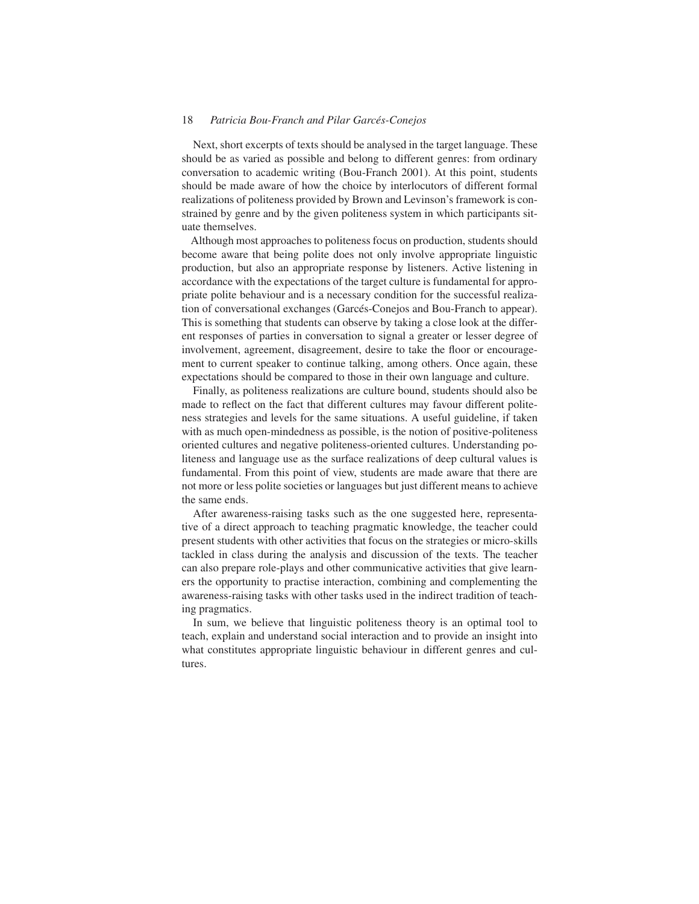Next, short excerpts of texts should be analysed in the target language. These should be as varied as possible and belong to different genres: from ordinary conversation to academic writing (Bou-Franch 2001). At this point, students should be made aware of how the choice by interlocutors of different formal realizations of politeness provided by Brown and Levinson's framework is constrained by genre and by the given politeness system in which participants situate themselves.

Although most approaches to politeness focus on production, students should become aware that being polite does not only involve appropriate linguistic production, but also an appropriate response by listeners. Active listening in accordance with the expectations of the target culture is fundamental for appropriate polite behaviour and is a necessary condition for the successful realization of conversational exchanges (Garcés-Conejos and Bou-Franch to appear). This is something that students can observe by taking a close look at the different responses of parties in conversation to signal a greater or lesser degree of involvement, agreement, disagreement, desire to take the floor or encouragement to current speaker to continue talking, among others. Once again, these expectations should be compared to those in their own language and culture.

Finally, as politeness realizations are culture bound, students should also be made to reflect on the fact that different cultures may favour different politeness strategies and levels for the same situations. A useful guideline, if taken with as much open-mindedness as possible, is the notion of positive-politeness oriented cultures and negative politeness-oriented cultures. Understanding politeness and language use as the surface realizations of deep cultural values is fundamental. From this point of view, students are made aware that there are not more or less polite societies or languages but just different means to achieve the same ends.

After awareness-raising tasks such as the one suggested here, representative of a direct approach to teaching pragmatic knowledge, the teacher could present students with other activities that focus on the strategies or micro-skills tackled in class during the analysis and discussion of the texts. The teacher can also prepare role-plays and other communicative activities that give learners the opportunity to practise interaction, combining and complementing the awareness-raising tasks with other tasks used in the indirect tradition of teaching pragmatics.

In sum, we believe that linguistic politeness theory is an optimal tool to teach, explain and understand social interaction and to provide an insight into what constitutes appropriate linguistic behaviour in different genres and cultures.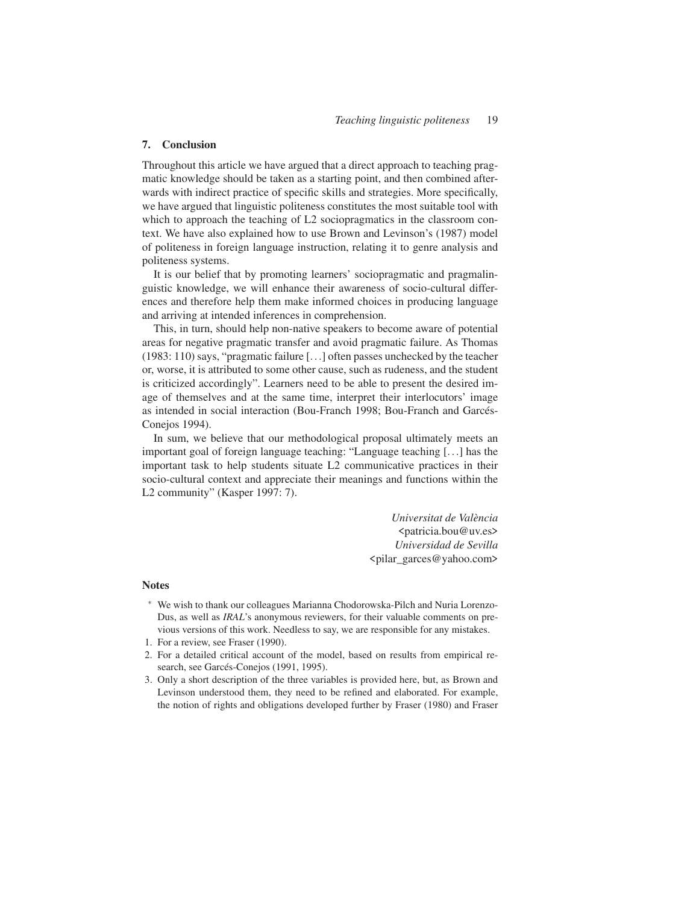# **7. Conclusion**

Throughout this article we have argued that a direct approach to teaching pragmatic knowledge should be taken as a starting point, and then combined afterwards with indirect practice of specific skills and strategies. More specifically, we have argued that linguistic politeness constitutes the most suitable tool with which to approach the teaching of L2 sociopragmatics in the classroom context. We have also explained how to use Brown and Levinson's (1987) model of politeness in foreign language instruction, relating it to genre analysis and politeness systems.

It is our belief that by promoting learners' sociopragmatic and pragmalinguistic knowledge, we will enhance their awareness of socio-cultural differences and therefore help them make informed choices in producing language and arriving at intended inferences in comprehension.

This, in turn, should help non-native speakers to become aware of potential areas for negative pragmatic transfer and avoid pragmatic failure. As Thomas (1983: 110) says, "pragmatic failure [*...*] often passes unchecked by the teacher or, worse, it is attributed to some other cause, such as rudeness, and the student is criticized accordingly". Learners need to be able to present the desired image of themselves and at the same time, interpret their interlocutors' image as intended in social interaction (Bou-Franch 1998; Bou-Franch and Garcés-Conejos 1994).

In sum, we believe that our methodological proposal ultimately meets an important goal of foreign language teaching: "Language teaching [*...*] has the important task to help students situate L2 communicative practices in their socio-cultural context and appreciate their meanings and functions within the L2 community" (Kasper 1997: 7).

> *Universitat de València* patricia.bou@uv.es-*Universidad de Sevilla* pilar\_garces@yahoo.com-

## **Notes**

- ∗. We wish to thank our colleagues Marianna Chodorowska-Pilch and Nuria Lorenzo-Dus, as well as *IRAL*'s anonymous reviewers, for their valuable comments on previous versions of this work. Needless to say, we are responsible for any mistakes.
- 1. For a review, see Fraser (1990).
- 2. For a detailed critical account of the model, based on results from empirical research, see Garcés-Conejos (1991, 1995).
- 3. Only a short description of the three variables is provided here, but, as Brown and Levinson understood them, they need to be refined and elaborated. For example, the notion of rights and obligations developed further by Fraser (1980) and Fraser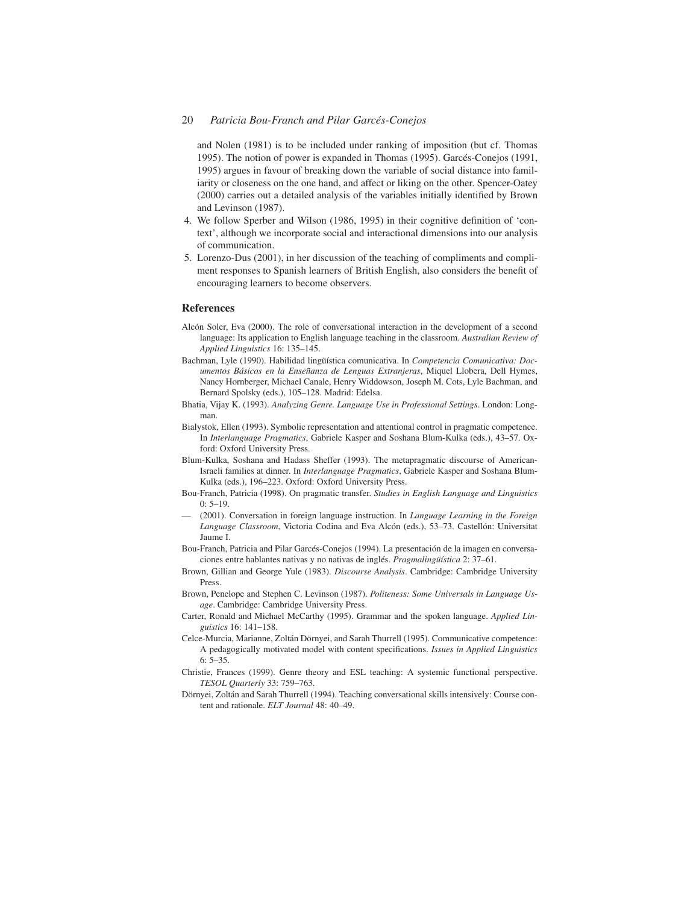and Nolen (1981) is to be included under ranking of imposition (but cf. Thomas 1995). The notion of power is expanded in Thomas (1995). Garcés-Conejos (1991, 1995) argues in favour of breaking down the variable of social distance into familiarity or closeness on the one hand, and affect or liking on the other. Spencer-Oatey (2000) carries out a detailed analysis of the variables initially identified by Brown and Levinson (1987).

- 4. We follow Sperber and Wilson (1986, 1995) in their cognitive definition of 'context', although we incorporate social and interactional dimensions into our analysis of communication.
- 5. Lorenzo-Dus (2001), in her discussion of the teaching of compliments and compliment responses to Spanish learners of British English, also considers the benefit of encouraging learners to become observers.

#### **References**

- Alcón Soler, Eva (2000). The role of conversational interaction in the development of a second language: Its application to English language teaching in the classroom. *Australian Review of Applied Linguistics* 16: 135–145.
- Bachman, Lyle (1990). Habilidad lingüística comunicativa. In *Competencia Comunicativa: Documentos Básicos en la Enseñanza de Lenguas Extranjeras*, Miquel Llobera, Dell Hymes, Nancy Hornberger, Michael Canale, Henry Widdowson, Joseph M. Cots, Lyle Bachman, and Bernard Spolsky (eds.), 105–128. Madrid: Edelsa.
- Bhatia, Vijay K. (1993). *Analyzing Genre. Language Use in Professional Settings*. London: Longman.
- Bialystok, Ellen (1993). Symbolic representation and attentional control in pragmatic competence. In *Interlanguage Pragmatics*, Gabriele Kasper and Soshana Blum-Kulka (eds.), 43–57. Oxford: Oxford University Press.
- Blum-Kulka, Soshana and Hadass Sheffer (1993). The metapragmatic discourse of American-Israeli families at dinner. In *Interlanguage Pragmatics*, Gabriele Kasper and Soshana Blum-Kulka (eds.), 196–223. Oxford: Oxford University Press.
- Bou-Franch, Patricia (1998). On pragmatic transfer. *Studies in English Language and Linguistics*  $0: 5-19.$
- (2001). Conversation in foreign language instruction. In *Language Learning in the Foreign Language Classroom*, Victoria Codina and Eva Alcón (eds.), 53–73. Castellón: Universitat Jaume I.
- Bou-Franch, Patricia and Pilar Garcés-Conejos (1994). La presentación de la imagen en conversaciones entre hablantes nativas y no nativas de inglés. *Pragmalingüística* 2: 37–61.
- Brown, Gillian and George Yule (1983). *Discourse Analysis*. Cambridge: Cambridge University Press.
- Brown, Penelope and Stephen C. Levinson (1987). *Politeness: Some Universals in Language Usage*. Cambridge: Cambridge University Press.
- Carter, Ronald and Michael McCarthy (1995). Grammar and the spoken language. *Applied Linguistics* 16: 141–158.
- Celce-Murcia, Marianne, Zoltán Dörnyei, and Sarah Thurrell (1995). Communicative competence: A pedagogically motivated model with content specifications. *Issues in Applied Linguistics* 6: 5–35.
- Christie, Frances (1999). Genre theory and ESL teaching: A systemic functional perspective. *TESOL Quarterly* 33: 759–763.
- Dörnyei, Zoltán and Sarah Thurrell (1994). Teaching conversational skills intensively: Course content and rationale. *ELT Journal* 48: 40–49.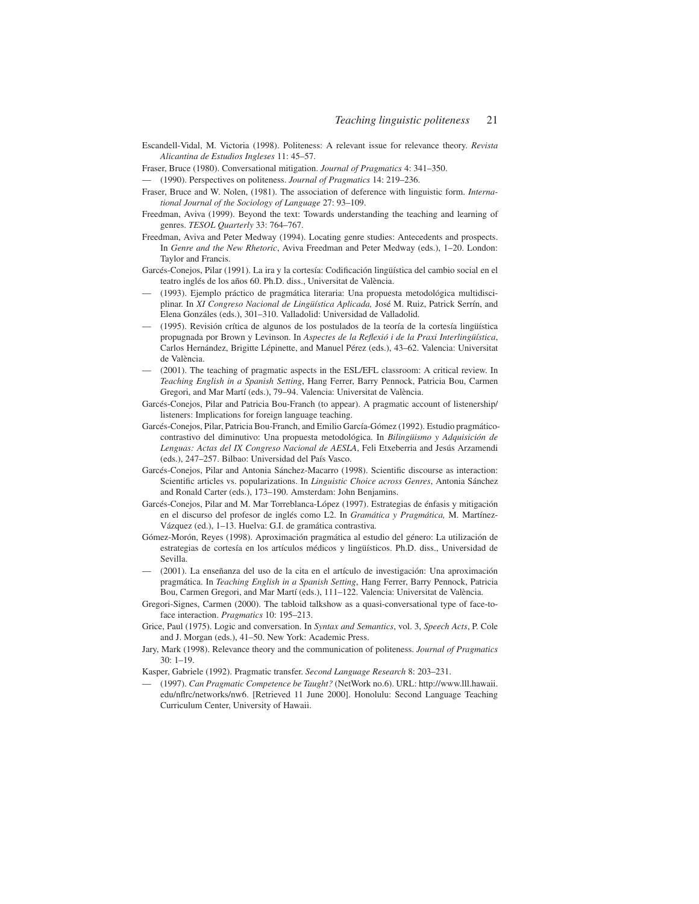- Escandell-Vidal, M. Victoria (1998). Politeness: A relevant issue for relevance theory. *Revista Alicantina de Estudios Ingleses* 11: 45–57.
- Fraser, Bruce (1980). Conversational mitigation. *Journal of Pragmatics* 4: 341–350.
- (1990). Perspectives on politeness. *Journal of Pragmatics* 14: 219–236.
- Fraser, Bruce and W. Nolen, (1981). The association of deference with linguistic form. *International Journal of the Sociology of Language* 27: 93–109.
- Freedman, Aviva (1999). Beyond the text: Towards understanding the teaching and learning of genres. *TESOL Quarterly* 33: 764–767.
- Freedman, Aviva and Peter Medway (1994). Locating genre studies: Antecedents and prospects. In *Genre and the New Rhetoric*, Aviva Freedman and Peter Medway (eds.), 1–20. London: Taylor and Francis.
- Garcés-Conejos, Pilar (1991). La ira y la cortesía: Codificación lingüística del cambio social en el teatro inglés de los años 60. Ph.D. diss., Universitat de València.
- (1993). Ejemplo práctico de pragmática literaria: Una propuesta metodológica multidisciplinar. In *XI Congreso Nacional de Lingüística Aplicada,* José M. Ruiz, Patrick Serrín, and Elena Gonzáles (eds.), 301–310. Valladolid: Universidad de Valladolid.
- (1995). Revisión crítica de algunos de los postulados de la teoría de la cortesía lingüística propugnada por Brown y Levinson. In *Aspectes de la Reflexió i de la Praxi Interlingüística*, Carlos Hernández, Brigitte Lépinette, and Manuel Pérez (eds.), 43–62. Valencia: Universitat de València.
- (2001). The teaching of pragmatic aspects in the ESL/EFL classroom: A critical review. In *Teaching English in a Spanish Setting*, Hang Ferrer, Barry Pennock, Patricia Bou, Carmen Gregori, and Mar Martí (eds.), 79–94. Valencia: Universitat de València.
- Garcés-Conejos, Pilar and Patricia Bou-Franch (to appear). A pragmatic account of listenership/ listeners: Implications for foreign language teaching.
- Garcés-Conejos, Pilar, Patricia Bou-Franch, and Emilio García-Gómez (1992). Estudio pragmáticocontrastivo del diminutivo: Una propuesta metodológica. In *Bilingüismo y Adquisición de Lenguas: Actas del IX Congreso Nacional de AESLA*, Feli Etxeberria and Jesús Arzamendi (eds.), 247–257. Bilbao: Universidad del País Vasco.
- Garcés-Conejos, Pilar and Antonia Sánchez-Macarro (1998). Scientific discourse as interaction: Scientific articles vs. popularizations. In *Linguistic Choice across Genres*, Antonia Sánchez and Ronald Carter (eds.), 173–190. Amsterdam: John Benjamins.
- Garcés-Conejos, Pilar and M. Mar Torreblanca-López (1997). Estrategias de énfasis y mitigación en el discurso del profesor de inglés como L2. In *Gramática y Pragmática,* M. Martínez-Vázquez (ed.), 1–13. Huelva: G.I. de gramática contrastiva.
- Gómez-Morón, Reyes (1998). Aproximación pragmática al estudio del género: La utilización de estrategias de cortesía en los artículos médicos y lingüísticos. Ph.D. diss., Universidad de Sevilla.
- (2001). La enseñanza del uso de la cita en el artículo de investigación: Una aproximación pragmática. In *Teaching English in a Spanish Setting*, Hang Ferrer, Barry Pennock, Patricia Bou, Carmen Gregori, and Mar Martí (eds.), 111–122. Valencia: Universitat de València.
- Gregori-Signes, Carmen (2000). The tabloid talkshow as a quasi-conversational type of face-toface interaction. *Pragmatics* 10: 195–213.
- Grice, Paul (1975). Logic and conversation. In *Syntax and Semantics*, vol. 3, *Speech Acts*, P. Cole and J. Morgan (eds.), 41–50. New York: Academic Press.
- Jary, Mark (1998). Relevance theory and the communication of politeness. *Journal of Pragmatics* 30: 1–19.
- Kasper, Gabriele (1992). Pragmatic transfer. *Second Language Research* 8: 203–231.
- (1997). *Can Pragmatic Competence be Taught?* (NetWork no.6). URL: http://www.lll.hawaii. edu/nflrc/networks/nw6. [Retrieved 11 June 2000]. Honolulu: Second Language Teaching Curriculum Center, University of Hawaii.